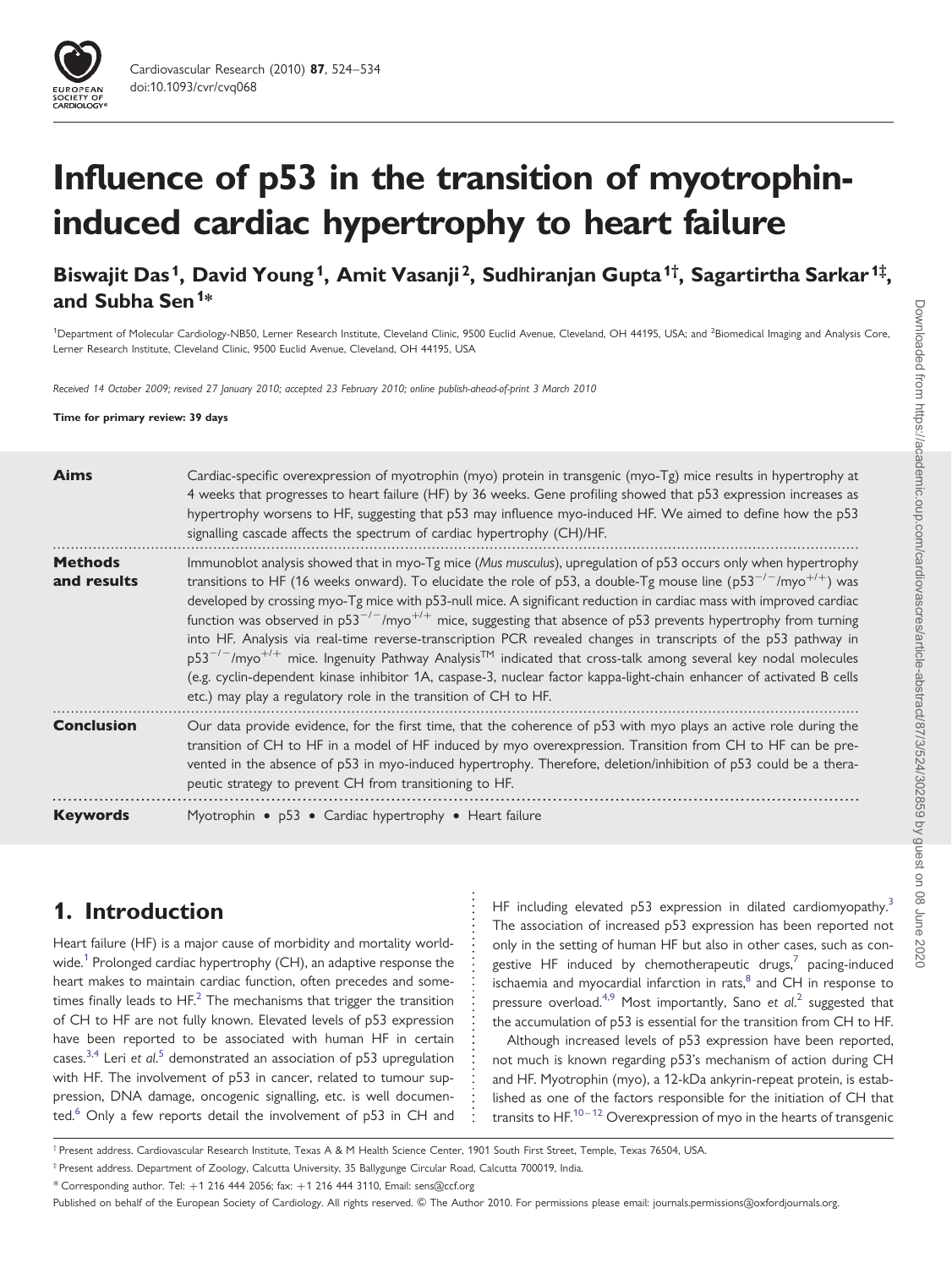# Influence of p53 in the transition of myotrophininduced cardiac hypertrophy to heart failure

Biswajit Das<sup>1</sup>, David Young<sup>1</sup>, Amit Vasanji<sup>2</sup>, Sudhiranjan Gupta<sup>1†</sup>, Sagartirtha Sarkar<sup>1‡</sup>, and Subha Sen<sup>1\*</sup>

<sup>1</sup>Department of Molecular Cardiology-NB50, Lerner Research Institute, Cleveland Clinic, 9500 Euclid Avenue, Cleveland, OH 44195, USA; and <sup>2</sup>Biomedical Imaging and Analysis Core, Lerner Research Institute, Cleveland Clinic, 9500 Euclid Avenue, Cleveland, OH 44195, USA

Received 14 October 2009; revised 27 January 2010; accepted 23 February 2010; online publish-ahead-of-print 3 March 2010

#### Time for primary review: 39 days

| <b>Aims</b>                   | Cardiac-specific overexpression of myotrophin (myo) protein in transgenic (myo-Tg) mice results in hypertrophy at<br>4 weeks that progresses to heart failure (HF) by 36 weeks. Gene profiling showed that p53 expression increases as<br>hypertrophy worsens to HF, suggesting that p53 may influence myo-induced HF. We aimed to define how the p53<br>signalling cascade affects the spectrum of cardiac hypertrophy (CH)/HF.                                                                                                                                                                                                                                                                                                                                                                                                                                                                                                                             |
|-------------------------------|--------------------------------------------------------------------------------------------------------------------------------------------------------------------------------------------------------------------------------------------------------------------------------------------------------------------------------------------------------------------------------------------------------------------------------------------------------------------------------------------------------------------------------------------------------------------------------------------------------------------------------------------------------------------------------------------------------------------------------------------------------------------------------------------------------------------------------------------------------------------------------------------------------------------------------------------------------------|
| <b>Methods</b><br>and results | Immunoblot analysis showed that in myo-Tg mice (Mus musculus), upregulation of p53 occurs only when hypertrophy<br>transitions to HF (16 weeks onward). To elucidate the role of p53, a double-Tg mouse line (p53 <sup>-/-</sup> /myo <sup>+/+</sup> ) was<br>developed by crossing myo-Tg mice with p53-null mice. A significant reduction in cardiac mass with improved cardiac<br>function was observed in $p53^{-/-}/mpp^{-/+}$ mice, suggesting that absence of p53 prevents hypertrophy from turning<br>into HF. Analysis via real-time reverse-transcription PCR revealed changes in transcripts of the p53 pathway in<br>$p53^{-/-}/mpo^{++}$ mice. Ingenuity Pathway Analysis <sup>TM</sup> indicated that cross-talk among several key nodal molecules<br>(e.g. cyclin-dependent kinase inhibitor 1A, caspase-3, nuclear factor kappa-light-chain enhancer of activated B cells<br>etc.) may play a regulatory role in the transition of CH to HF. |
| <b>Conclusion</b>             | Our data provide evidence, for the first time, that the coherence of p53 with myo plays an active role during the<br>transition of CH to HF in a model of HF induced by myo overexpression. Transition from CH to HF can be pre-<br>vented in the absence of p53 in myo-induced hypertrophy. Therefore, deletion/inhibition of p53 could be a thera-<br>peutic strategy to prevent CH from transitioning to HF.                                                                                                                                                                                                                                                                                                                                                                                                                                                                                                                                              |
| <b>Keywords</b>               | Myotrophin • p53 • Cardiac hypertrophy • Heart failure                                                                                                                                                                                                                                                                                                                                                                                                                                                                                                                                                                                                                                                                                                                                                                                                                                                                                                       |

# 1. Introduction

Heart failure (HF) is a major cause of morbidity and mortality worldwide.<sup>1</sup> Prolonged cardiac hypertrophy (CH), an adaptive response the heart makes to maintain cardiac function, often precedes and sometimes finally leads to  $HF<sup>2</sup>$  $HF<sup>2</sup>$  $HF<sup>2</sup>$ . The mechanisms that trigger the transition of CH to HF are not fully known. Elevated levels of p53 expression have been reported to be associated with human HF in certain cases.<sup>[3](#page-9-0),[4](#page-9-0)</sup> Leri et  $al$ .<sup>[5](#page-9-0)</sup> demonstrated an association of p53 upregulation with HF. The involvement of p53 in cancer, related to tumour suppression, DNA damage, oncogenic signalling, etc. is well documen-ted.<sup>[6](#page-9-0)</sup> Only a few reports detail the involvement of p53 in CH and HF including elevated p5[3](#page-9-0) expression in dilated cardiomyopathy.<sup>3</sup> The association of increased p53 expression has been reported not only in the setting of human HF but also in other cases, such as congestive HF induced by chemotherapeutic drugs, $7$  pacing-induced ischaemia and myocardial infarction in rats, $<sup>8</sup>$  $<sup>8</sup>$  $<sup>8</sup>$  and CH in response to</sup> pressure overload.<sup>[4](#page-9-0),[9](#page-9-0)</sup> Most importantly, Sano et  $al$ .<sup>[2](#page-9-0)</sup> suggested that the accumulation of p53 is essential for the transition from CH to HF.

Although increased levels of p53 expression have been reported, not much is known regarding p53's mechanism of action during CH and HF. Myotrophin (myo), a 12-kDa ankyrin-repeat protein, is established as one of the factors responsible for the initiation of CH that transits to HF.<sup>[10](#page-9-0)-[12](#page-10-0)</sup> Overexpression of myo in the hearts of transgenic

† Present address. Cardiovascular Research Institute, Texas A & M Health Science Center, 1901 South First Street, Temple, Texas 76504, USA.

<sup>‡</sup> Present address. Department of Zoology, Calcutta University, 35 Ballygunge Circular Road, Calcutta 700019, India.

 $*$  Corresponding author. Tel:  $+1$  216 444 2056; fax:  $+1$  216 444 3110, Email: sens@ccf.org

Published on behalf of the European Society of Cardiology. All rights reserved. © The Author 2010. For permissions please email: journals.permissions@oxfordjournals.org.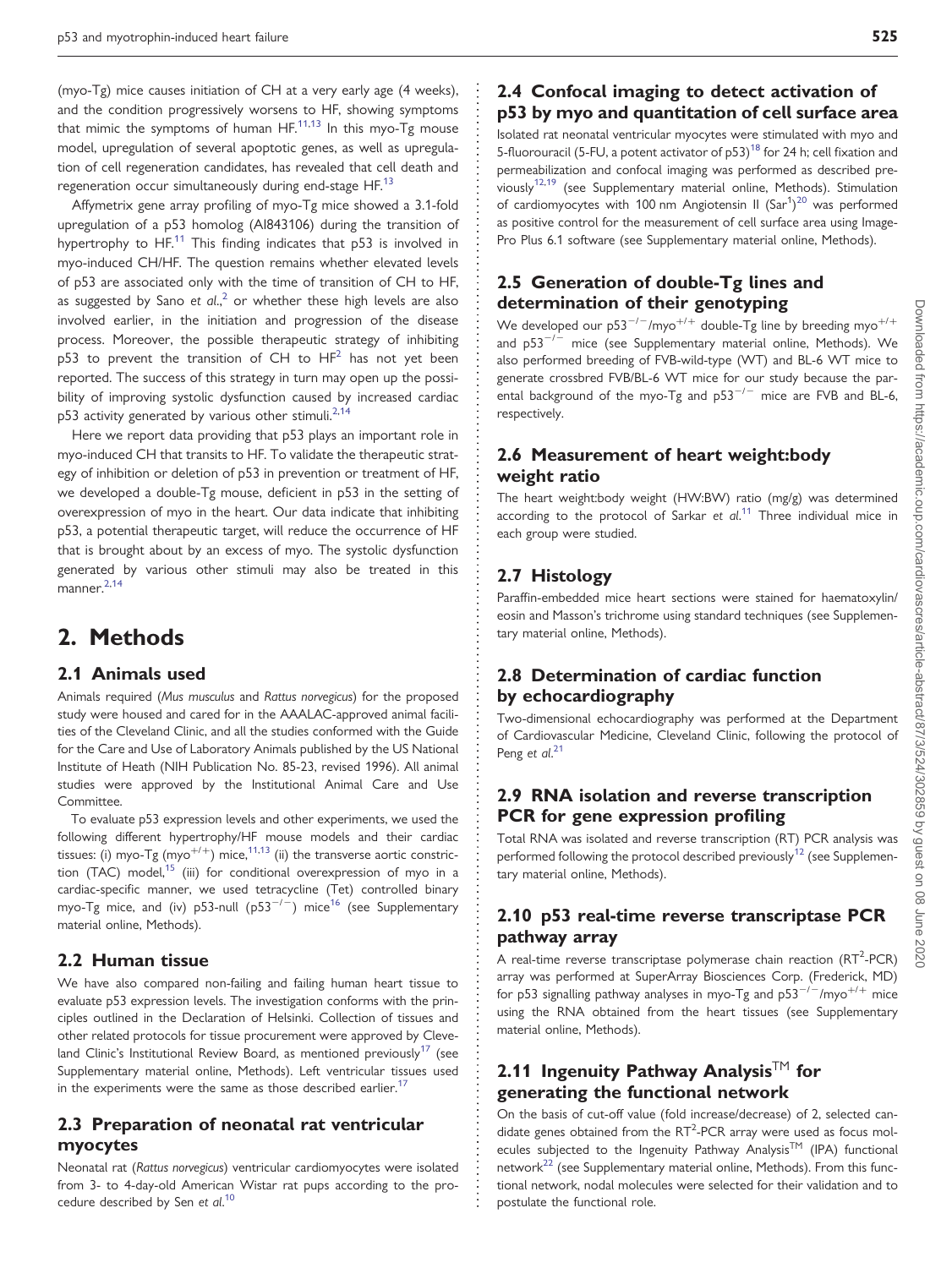(myo-Tg) mice causes initiation of CH at a very early age (4 weeks), and the condition progressively worsens to HF, showing symptoms that mimic the symptoms of human  $HF^{11,13}$  $HF^{11,13}$  $HF^{11,13}$  In this myo-Tg mouse model, upregulation of several apoptotic genes, as well as upregulation of cell regeneration candidates, has revealed that cell death and regeneration occur simultaneously during end-stage HF.<sup>[13](#page-10-0)</sup>

Affymetrix gene array profiling of myo-Tg mice showed a 3.1-fold upregulation of a p53 homolog (AI843106) during the transition of hypertrophy to HF.<sup>[11](#page-10-0)</sup> This finding indicates that p53 is involved in myo-induced CH/HF. The question remains whether elevated levels of p53 are associated only with the time of transition of CH to HF, as suggested by Sano et  $al.^2$  $al.^2$  or whether these high levels are also involved earlier, in the initiation and progression of the disease process. Moreover, the possible therapeutic strategy of inhibiting  $p53$  to prevent the transition of CH to  $HF<sup>2</sup>$  has not yet been reported. The success of this strategy in turn may open up the possibility of improving systolic dysfunction caused by increased cardiac p53 activity generated by various other stimuli.<sup>[2](#page-9-0),[14](#page-10-0)</sup>

Here we report data providing that p53 plays an important role in myo-induced CH that transits to HF. To validate the therapeutic strategy of inhibition or deletion of p53 in prevention or treatment of HF, we developed a double-Tg mouse, deficient in p53 in the setting of overexpression of myo in the heart. Our data indicate that inhibiting p53, a potential therapeutic target, will reduce the occurrence of HF that is brought about by an excess of myo. The systolic dysfunction generated by various other stimuli may also be treated in this manner[.2,](#page-9-0)[14](#page-10-0)

### 2. Methods

#### 2.1 Animals used

Animals required (Mus musculus and Rattus norvegicus) for the proposed study were housed and cared for in the AAALAC-approved animal facilities of the Cleveland Clinic, and all the studies conformed with the Guide for the Care and Use of Laboratory Animals published by the US National Institute of Heath (NIH Publication No. 85-23, revised 1996). All animal studies were approved by the Institutional Animal Care and Use Committee.

To evaluate p53 expression levels and other experiments, we used the following different hypertrophy/HF mouse models and their cardiac tissues: (i) myo-Tg (myo<sup>+/+</sup>) mice,<sup>11,[13](#page-10-0)</sup> (ii) the transverse aortic constric-tion (TAC) model,<sup>[15](#page-10-0)</sup> (iii) for conditional overexpression of myo in a cardiac-specific manner, we used tetracycline (Tet) controlled binary myo-Tg mice, and (iv) p53-null (p53<sup>-/-</sup>) mice<sup>[16](#page-10-0)</sup> (see [Supplementary](http://cardiovascres.oxfordjournals.org/cgi/content/full/cvq068/DC1) [material online, Methods](http://cardiovascres.oxfordjournals.org/cgi/content/full/cvq068/DC1)).

#### 2.2 Human tissue

We have also compared non-failing and failing human heart tissue to evaluate p53 expression levels. The investigation conforms with the principles outlined in the Declaration of Helsinki. Collection of tissues and other related protocols for tissue procurement were approved by Cleveland Clinic's Institutional Review Board, as mentioned previously<sup>17</sup> (see [Supplementary material online, Methods\)](http://cardiovascres.oxfordjournals.org/cgi/content/full/cvq068/DC1). Left ventricular tissues used in the experiments were the same as those described earlier.<sup>[17](#page-10-0)</sup>

### 2.3 Preparation of neonatal rat ventricular myocytes

Neonatal rat (Rattus norvegicus) ventricular cardiomyocytes were isolated from 3- to 4-day-old American Wistar rat pups according to the pro-cedure described by Sen et al.<sup>[10](#page-9-0)</sup>

### 2.4 Confocal imaging to detect activation of p53 by myo and quantitation of cell surface area

Isolated rat neonatal ventricular myocytes were stimulated with myo and 5-fluorouracil (5-FU, a potent activator of  $p53$ )<sup>[18](#page-10-0)</sup> for 24 h; cell fixation and permeabilization and confocal imaging was performed as described pre-viously<sup>[12,19](#page-10-0)</sup> (see [Supplementary material online, Methods\)](http://cardiovascres.oxfordjournals.org/cgi/content/full/cvq068/DC1). Stimulation of cardiomyocytes with 100 nm Angiotensin II  $(Sar<sup>1</sup>)<sup>20</sup>$  $(Sar<sup>1</sup>)<sup>20</sup>$  $(Sar<sup>1</sup>)<sup>20</sup>$  was performed as positive control for the measurement of cell surface area using Image-Pro Plus 6.1 software (see [Supplementary material online, Methods](http://cardiovascres.oxfordjournals.org/cgi/content/full/cvq068/DC1)).

### 2.5 Generation of double-Tg lines and determination of their genotyping

We developed our  $p53^{-/-}/myo^{+/+}$  double-Tg line by breeding myo<sup>+/+</sup> and  $p53^{-/-}$  mice (see [Supplementary material online, Methods](http://cardiovascres.oxfordjournals.org/cgi/content/full/cvq068/DC1)). We also performed breeding of FVB-wild-type (WT) and BL-6 WT mice to generate crossbred FVB/BL-6 WT mice for our study because the parental background of the myo-Tg and  $p53^{-/-}$  mice are FVB and BL-6, respectively.

### 2.6 Measurement of heart weight:body weight ratio

The heart weight:body weight (HW:BW) ratio (mg/g) was determined according to the protocol of Sarkar et  $al.^{11}$  $al.^{11}$  $al.^{11}$  Three individual mice in each group were studied.

### 2.7 Histology

Paraffin-embedded mice heart sections were stained for haematoxylin/ eosin and Masson's trichrome using standard techniques (see [Supplemen](http://cardiovascres.oxfordjournals.org/cgi/content/full/cvq068/DC1)[tary material online, Methods\)](http://cardiovascres.oxfordjournals.org/cgi/content/full/cvq068/DC1).

### 2.8 Determination of cardiac function by echocardiography

Two-dimensional echocardiography was performed at the Department of Cardiovascular Medicine, Cleveland Clinic, following the protocol of Peng et al.<sup>[21](#page-10-0)</sup>

### 2.9 RNA isolation and reverse transcription PCR for gene expression profiling

Total RNA was isolated and reverse transcription (RT) PCR analysis was performed following the protocol described previously<sup>[12](#page-10-0)</sup> (see [Supplemen](http://cardiovascres.oxfordjournals.org/cgi/content/full/cvq068/DC1)[tary material online, Methods\)](http://cardiovascres.oxfordjournals.org/cgi/content/full/cvq068/DC1).

### 2.10 p53 real-time reverse transcriptase PCR pathway array

A real-time reverse transcriptase polymerase chain reaction  $(RT<sup>2</sup>-PCR)$ array was performed at SuperArray Biosciences Corp. (Frederick, MD) for p53 signalling pathway analyses in myo-Tg and p53<sup>-/-</sup>/myo<sup>+/+</sup> mice using the RNA obtained from the heart tissues (see [Supplementary](http://cardiovascres.oxfordjournals.org/cgi/content/full/cvq068/DC1) [material online, Methods\)](http://cardiovascres.oxfordjournals.org/cgi/content/full/cvq068/DC1).

### 2.11 Ingenuity Pathway Analysis<sup>TM</sup> for generating the functional network

On the basis of cut-off value (fold increase/decrease) of 2, selected candidate genes obtained from the  $RT^2$ -PCR array were used as focus molecules subjected to the Ingenuity Pathway Analysis™ (IPA) functional network<sup>[22](#page-10-0)</sup> (see [Supplementary material online, Methods](http://cardiovascres.oxfordjournals.org/cgi/content/full/cvq068/DC1)). From this functional network, nodal molecules were selected for their validation and to postulate the functional role.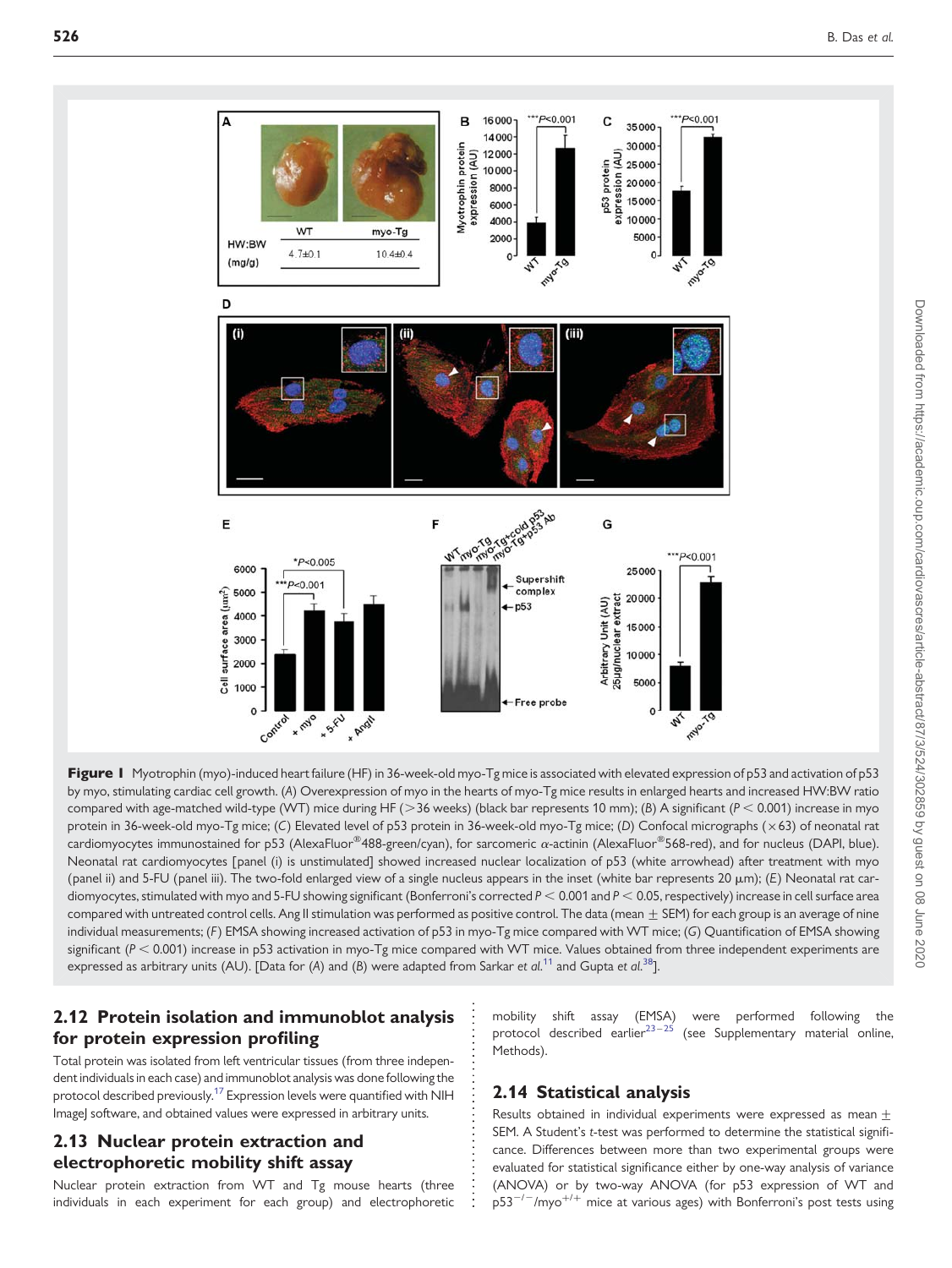<span id="page-2-0"></span>



### 2.12 Protein isolation and immunoblot analysis for protein expression profiling

Total protein was isolated from left ventricular tissues (from three independent individuals in each case) and immunoblot analysis was done following the protocol described previously.[17](#page-10-0) Expression levels were quantified with NIH ImageJ software, and obtained values were expressed in arbitrary units.

### 2.13 Nuclear protein extraction and electrophoretic mobility shift assay

Nuclear protein extraction from WT and Tg mouse hearts (three individuals in each experiment for each group) and electrophoretic mobility shift assay (EMSA) were performed following the protocol described earlier<sup>23-[25](#page-10-0)</sup> (see [Supplementary material online,](http://cardiovascres.oxfordjournals.org/cgi/content/full/cvq068/DC1) [Methods](http://cardiovascres.oxfordjournals.org/cgi/content/full/cvq068/DC1)).

### 2.14 Statistical analysis

Results obtained in individual experiments were expressed as mean  $\pm$ SEM. A Student's t-test was performed to determine the statistical significance. Differences between more than two experimental groups were evaluated for statistical significance either by one-way analysis of variance (ANOVA) or by two-way ANOVA (for p53 expression of WT and  $p53^{-/-}/mpo^{+/+}$  mice at various ages) with Bonferroni's post tests using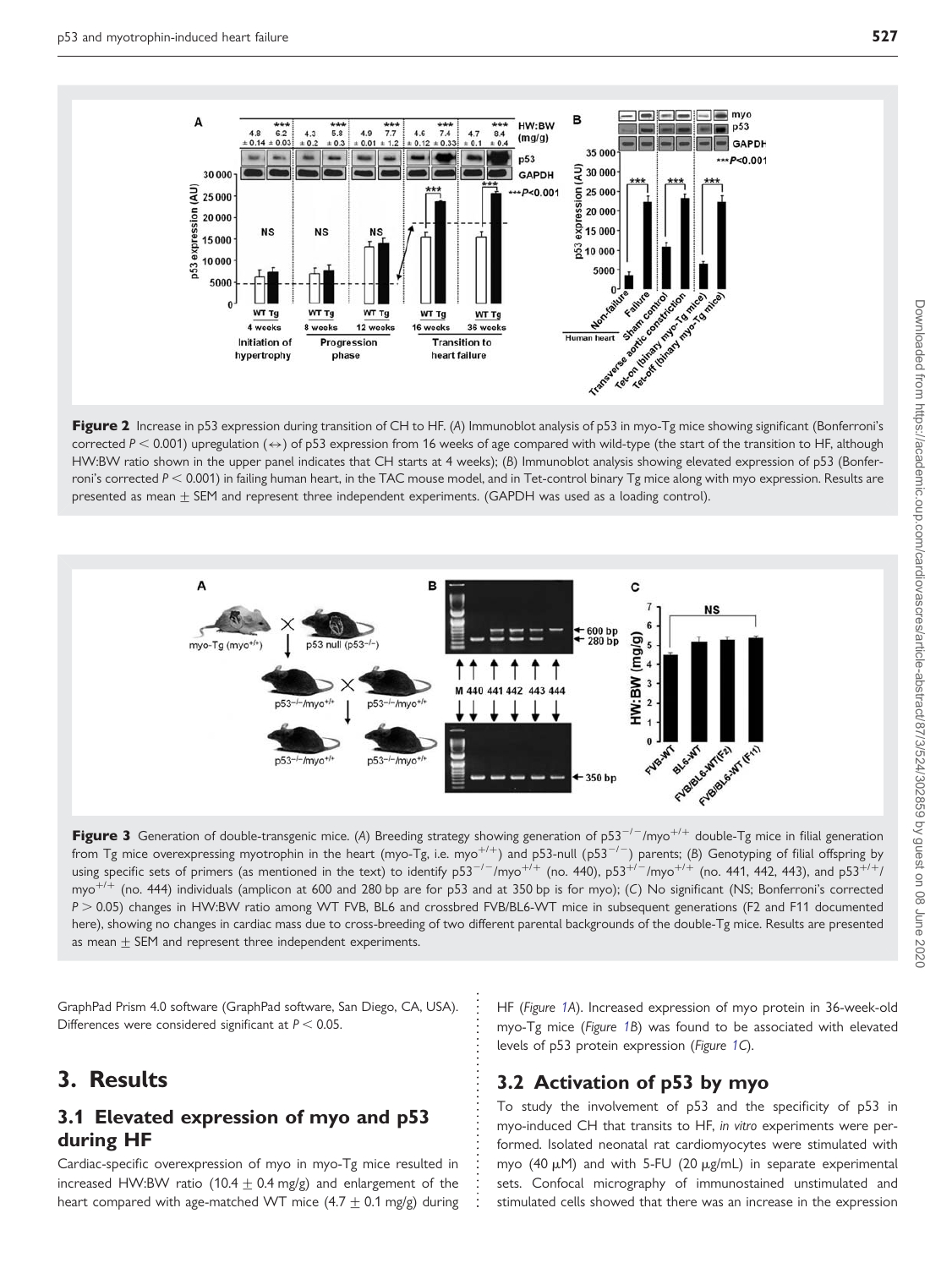<span id="page-3-0"></span>

Figure 2 Increase in p53 expression during transition of CH to HF. (A) Immunoblot analysis of p53 in myo-Tg mice showing significant (Bonferroni's corrected P < 0.001) upregulation ( $\leftrightarrow$ ) of p53 expression from 16 weeks of age compared with wild-type (the start of the transition to HF, although HW:BW ratio shown in the upper panel indicates that CH starts at 4 weeks); (B) Immunoblot analysis showing elevated expression of p53 (Bonferroni's corrected  $P < 0.001$ ) in failing human heart, in the TAC mouse model, and in Tet-control binary Tg mice along with myo expression. Results are presented as mean  $\pm$  SEM and represent three independent experiments. (GAPDH was used as a loading control).



Figure 3 Generation of double-transgenic mice. (A) Breeding strategy showing generation of p53<sup>-/-</sup>/myo<sup>+/+</sup> double-Tg mice in filial generation from Tg mice overexpressing myotrophin in the heart (myo-Tg, i.e. myo<sup>+/+</sup>) and p53-null (p53<sup>-/-</sup>) parents; (B) Genotyping of filial offspring by using specific sets of primers (as mentioned in the text) to identify  $p53^{-/-}/myo^{+/+}$  (no. 440),  $p53^{+/-}/myo^{+/+}$  (no. 441, 442, 443), and  $p53^{+/+}/y$ myo<sup>+/+</sup> (no. 444) individuals (amplicon at 600 and 280 bp are for p53 and at 350 bp is for myo); (C) No significant (NS; Bonferroni's corrected P > 0.05) changes in HW:BW ratio among WT FVB, BL6 and crossbred FVB/BL6-WT mice in subsequent generations (F2 and F11 documented here), showing no changes in cardiac mass due to cross-breeding of two different parental backgrounds of the double-Tg mice. Results are presented as mean  $\pm$  SEM and represent three independent experiments.

GraphPad Prism 4.0 software (GraphPad software, San Diego, CA, USA). Differences were considered significant at  $P < 0.05$ .

# 3. Results

### 3.1 Elevated expression of myo and p53 during HF

Cardiac-specific overexpression of myo in myo-Tg mice resulted in increased HW:BW ratio (10.4  $\pm$  0.4 mg/g) and enlargement of the heart compared with age-matched WT mice  $(4.7 \pm 0.1 \text{ mg/g})$  during

HF (Figure [1A](#page-2-0)). Increased expression of myo protein in 36-week-old myo-Tg mice (Figure [1](#page-2-0)B) was found to be associated with elevated levels of p53 protein expression (Figure [1](#page-2-0)C).

### 3.2 Activation of p53 by myo

To study the involvement of p53 and the specificity of p53 in myo-induced CH that transits to HF, in vitro experiments were performed. Isolated neonatal rat cardiomyocytes were stimulated with myo (40  $\mu$ M) and with 5-FU (20  $\mu$ g/mL) in separate experimental sets. Confocal micrography of immunostained unstimulated and stimulated cells showed that there was an increase in the expression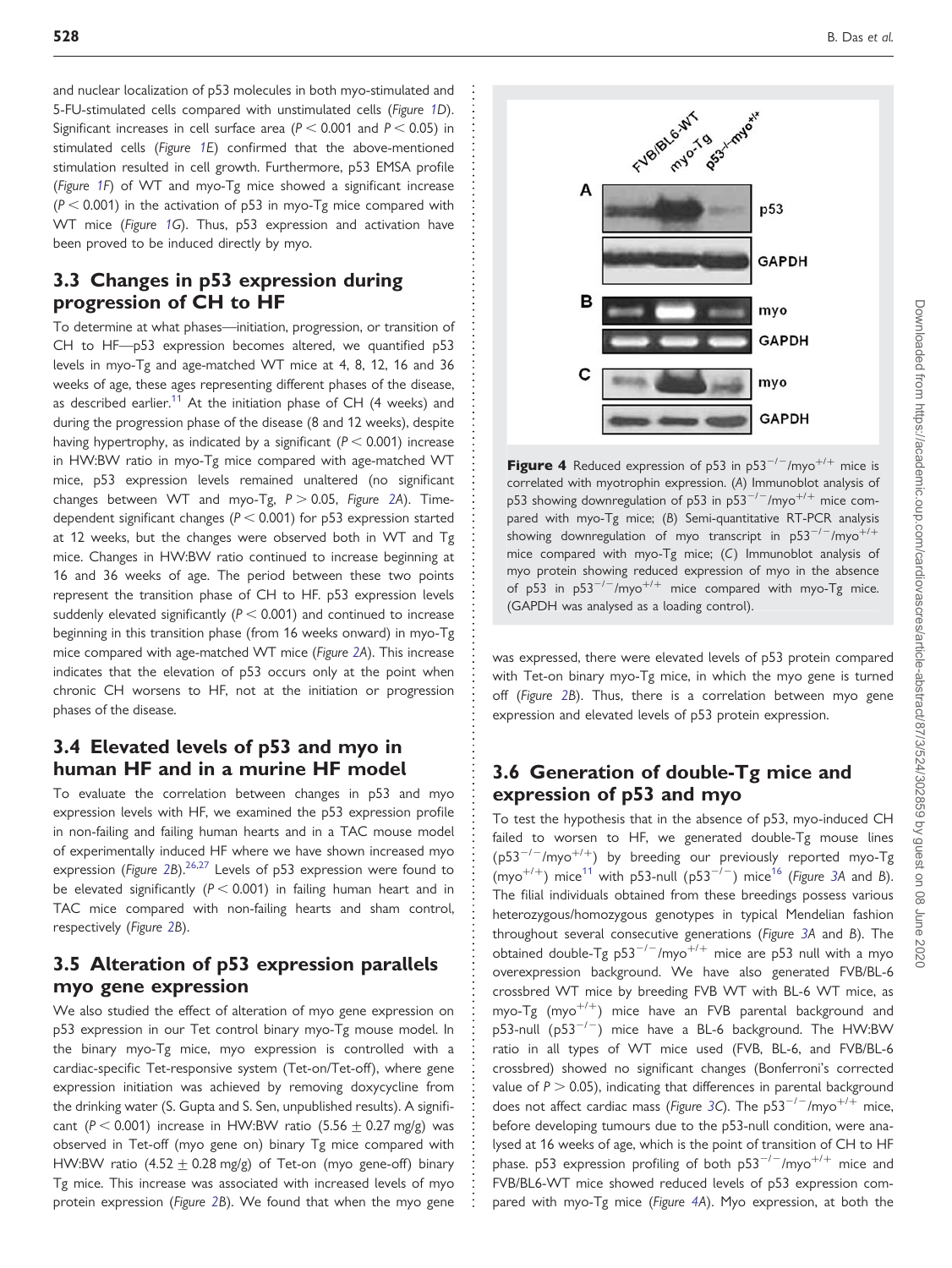<span id="page-4-0"></span>and nuclear localization of p53 molecules in both myo-stimulated and 5-FU-stimulated cells compared with unstimulated cells (Figure [1D](#page-2-0)). Significant increases in cell surface area ( $P < 0.001$  and  $P < 0.05$ ) in stimulated cells (Figure [1](#page-2-0)E) confirmed that the above-mentioned stimulation resulted in cell growth. Furthermore, p53 EMSA profile (Figure [1F](#page-2-0)) of WT and myo-Tg mice showed a significant increase  $(P < 0.001)$  in the activation of p53 in myo-Tg mice compared with WT mice (Figure [1G](#page-2-0)). Thus, p53 expression and activation have been proved to be induced directly by myo.

### 3.3 Changes in p53 expression during progression of CH to HF

To determine at what phases—initiation, progression, or transition of CH to HF—p53 expression becomes altered, we quantified p53 levels in myo-Tg and age-matched WT mice at 4, 8, 12, 16 and 36 weeks of age, these ages representing different phases of the disease, as described earlier.<sup>11</sup> At the initiation phase of CH (4 weeks) and during the progression phase of the disease (8 and 12 weeks), despite having hypertrophy, as indicated by a significant ( $P < 0.001$ ) increase in HW:BW ratio in myo-Tg mice compared with age-matched WT mice, p53 expression levels remained unaltered (no significant changes between WT and myo-Tg,  $P > 0.05$ , Figure [2A](#page-3-0)). Timedependent significant changes ( $P < 0.001$ ) for p53 expression started at 12 weeks, but the changes were observed both in WT and Tg mice. Changes in HW:BW ratio continued to increase beginning at 16 and 36 weeks of age. The period between these two points represent the transition phase of CH to HF. p53 expression levels suddenly elevated significantly ( $P < 0.001$ ) and continued to increase beginning in this transition phase (from 16 weeks onward) in myo-Tg mice compared with age-matched WT mice (Figure [2](#page-3-0)A). This increase indicates that the elevation of p53 occurs only at the point when chronic CH worsens to HF, not at the initiation or progression phases of the disease.

### 3.4 Elevated levels of p53 and myo in human HF and in a murine HF model

To evaluate the correlation between changes in p53 and myo expression levels with HF, we examined the p53 expression profile in non-failing and failing human hearts and in a TAC mouse model of experimentally induced HF where we have shown increased myo expression (Figure [2B](#page-3-0)).  $26,27$  Levels of p53 expression were found to be elevated significantly ( $P < 0.001$ ) in failing human heart and in TAC mice compared with non-failing hearts and sham control, respectively (Figure [2](#page-3-0)B).

### 3.5 Alteration of p53 expression parallels myo gene expression

We also studied the effect of alteration of myo gene expression on p53 expression in our Tet control binary myo-Tg mouse model. In the binary myo-Tg mice, myo expression is controlled with a cardiac-specific Tet-responsive system (Tet-on/Tet-off), where gene expression initiation was achieved by removing doxycycline from the drinking water (S. Gupta and S. Sen, unpublished results). A significant ( $P < 0.001$ ) increase in HW:BW ratio (5.56  $\pm$  0.27 mg/g) was observed in Tet-off (myo gene on) binary Tg mice compared with HW:BW ratio (4.52  $\pm$  0.28 mg/g) of Tet-on (myo gene-off) binary Tg mice. This increase was associated with increased levels of myo protein expression (Figure [2B](#page-3-0)). We found that when the myo gene



**Figure 4** Reduced expression of p53 in p53<sup>-/-</sup>/myo<sup>+/+</sup> mice is correlated with myotrophin expression. (A) Immunoblot analysis of p53 showing downregulation of p53 in p53<sup>-/-</sup>/myo<sup>+/+</sup> mice compared with myo-Tg mice; (B) Semi-quantitative RT-PCR analysis showing downregulation of myo transcript in  $p53^{-/-}/mpo^{+/+}$ mice compared with myo-Tg mice; (C) Immunoblot analysis of myo protein showing reduced expression of myo in the absence of p53 in p53<sup>-/-</sup>/myo<sup>+/+</sup> mice compared with myo-Tg mice. (GAPDH was analysed as a loading control).

was expressed, there were elevated levels of p53 protein compared with Tet-on binary myo-Tg mice, in which the myo gene is turned off (Figure [2B](#page-3-0)). Thus, there is a correlation between myo gene expression and elevated levels of p53 protein expression.

### 3.6 Generation of double-Tg mice and expression of p53 and myo

To test the hypothesis that in the absence of p53, myo-induced CH failed to worsen to HF, we generated double-Tg mouse lines (p53<sup>-/-</sup>/myo<sup>+/+</sup>) by breeding our previously reported myo-Tg (myo<sup>+/+</sup>) mice<sup>[11](#page-10-0)</sup> with p53-null (p53<sup>-/-</sup>) mice<sup>[16](#page-10-0)</sup> (Figure [3](#page-3-0)A and B). The filial individuals obtained from these breedings possess various heterozygous/homozygous genotypes in typical Mendelian fashion throughout several consecutive generations (Figure [3A](#page-3-0) and B). The obtained double-Tg  $p53^{-/-}/myo^{+/+}$  mice are p53 null with a myo overexpression background. We have also generated FVB/BL-6 crossbred WT mice by breeding FVB WT with BL-6 WT mice, as myo-Tg  $(myo^{+/+})$  mice have an FVB parental background and p53-null (p53 $^{-/-}$ ) mice have a BL-6 background. The HW:BW ratio in all types of WT mice used (FVB, BL-6, and FVB/BL-6 crossbred) showed no significant changes (Bonferroni's corrected value of  $P > 0.05$ ), indicating that differences in parental background does not affect cardiac mass (Figure [3](#page-3-0)C). The  $p53^{-/-}/mpo^{+/+}$  mice, before developing tumours due to the p53-null condition, were analysed at 16 weeks of age, which is the point of transition of CH to HF phase. p53 expression profiling of both  $p53^{-/-}/myo^{+/+}$  mice and FVB/BL6-WT mice showed reduced levels of p53 expression compared with myo-Tg mice (Figure 4A). Myo expression, at both the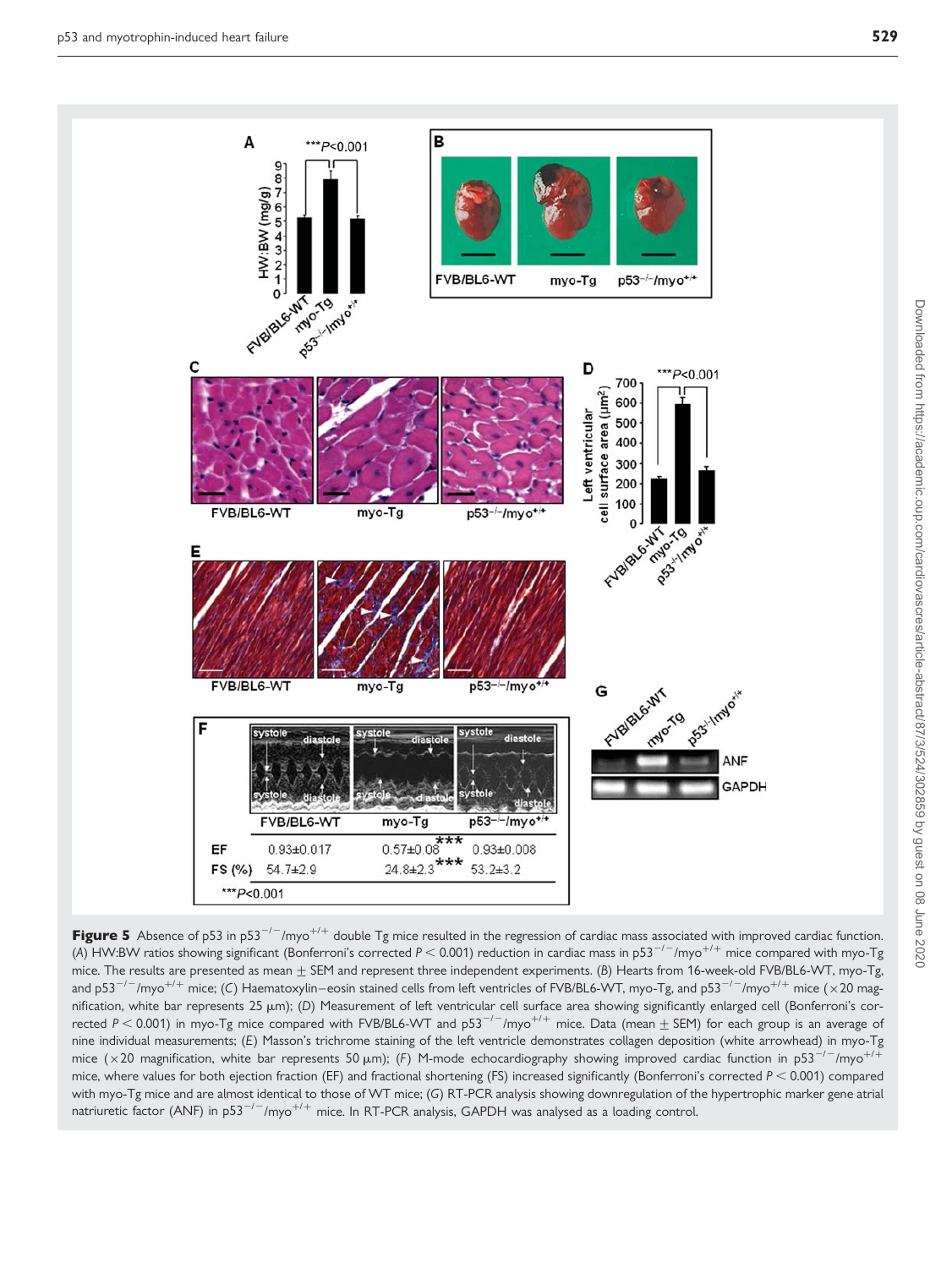<span id="page-5-0"></span>

Figure 5 Absence of p53 in p53<sup>-/-</sup>/myo<sup>+/+</sup> double Tg mice resulted in the regression of cardiac mass associated with improved cardiac function. (A) HW:BW ratios showing significant (Bonferroni's corrected  $P < 0.001$ ) reduction in cardiac mass in p53<sup>-/-</sup>/myo<sup>+/+</sup> mice compared with myo-Tg mice. The results are presented as mean  $\pm$  SEM and represent three independent experiments. (B) Hearts from 16-week-old FVB/BL6-WT, myo-Tg, and p53<sup>-/-</sup>/myo<sup>+/+</sup> mice; (C) Haematoxylin–eosin stained cells from left ventricles of FVB/BL6-WT, myo-Tg, and p53<sup>-/-</sup>/myo<sup>+/+</sup> mice (×20 magnification, white bar represents 25  $\mu$ m); (D) Measurement of left ventricular cell surface area showing significantly enlarged cell (Bonferroni's corrected  $P < 0.001$ ) in myo-Tg mice compared with FVB/BL6-WT and p53<sup>-/-</sup>/myo<sup>+/+</sup> mice. Data (mean  $\pm$  SEM) for each group is an average of nine individual measurements; (E) Masson's trichrome staining of the left ventricle demonstrates collagen deposition (white arrowhead) in myo-Tg mice (×20 magnification, white bar represents 50  $\mu$ m); (F) M-mode echocardiography showing improved cardiac function in p53<sup>-/-</sup>/myo<sup>+/+</sup> mice, where values for both ejection fraction (EF) and fractional shortening (FS) increased significantly (Bonferroni's corrected  $P < 0.001$ ) compared with myo-Tg mice and are almost identical to those of WT mice; (G) RT-PCR analysis showing downregulation of the hypertrophic marker gene atrial natriuretic factor (ANF) in  $p53^{-/-}/mpy0^{+/+}$  mice. In RT-PCR analysis, GAPDH was analysed as a loading control.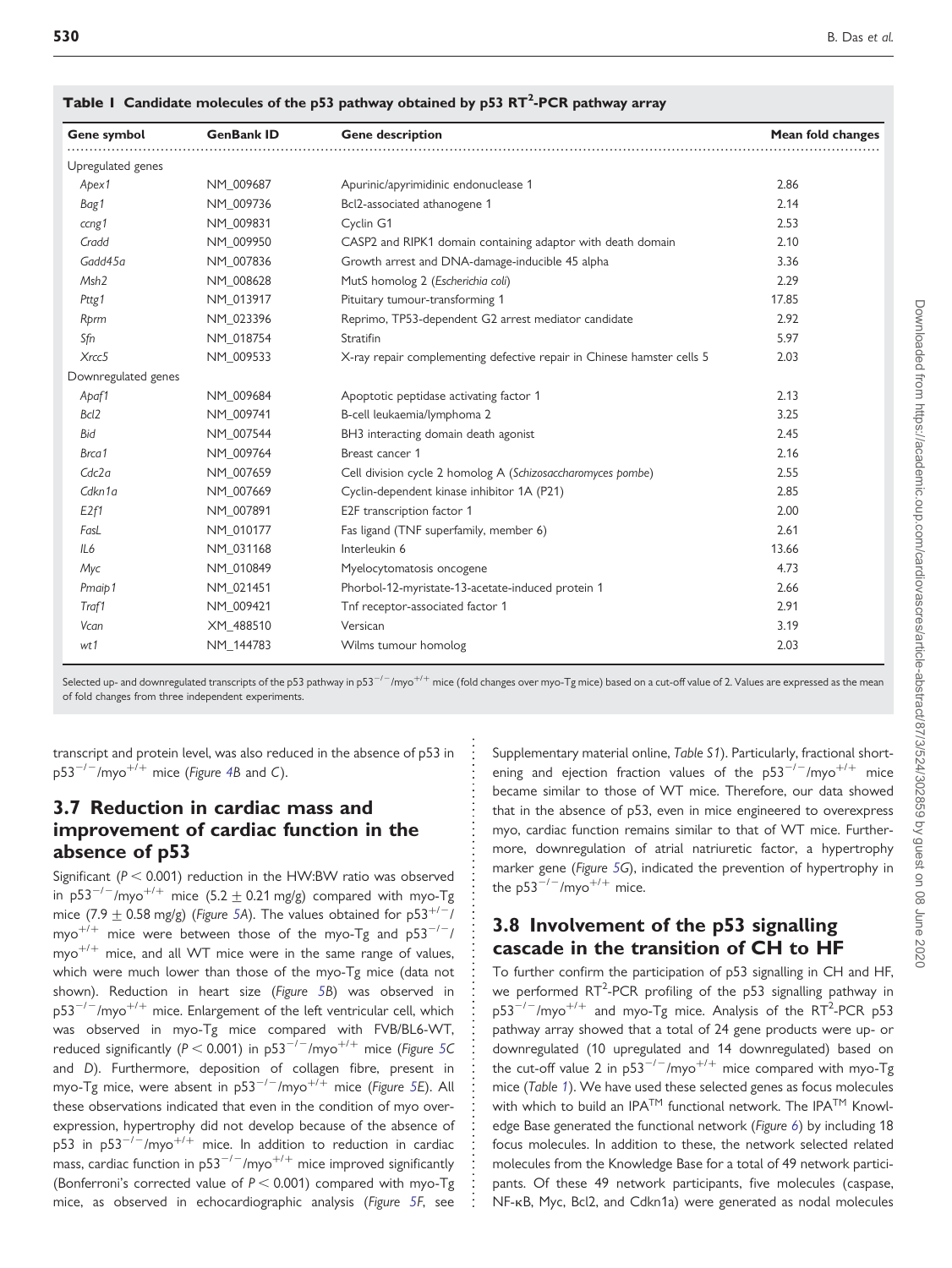| Gene symbol         | <b>GenBank ID</b> | <b>Gene description</b>                                                | Mean fold changes |
|---------------------|-------------------|------------------------------------------------------------------------|-------------------|
| Upregulated genes   |                   |                                                                        |                   |
| Apex1               | NM 009687         | Apurinic/apyrimidinic endonuclease 1                                   | 2.86              |
| Bag1                | NM 009736         | Bcl2-associated athanogene 1                                           | 2.14              |
| ccng1               | NM 009831         | Cyclin G1                                                              | 2.53              |
| Cradd               | NM 009950         | CASP2 and RIPK1 domain containing adaptor with death domain            | 2.10              |
| Gadd45a             | NM 007836         | Growth arrest and DNA-damage-inducible 45 alpha                        | 3.36              |
| Msh <sub>2</sub>    | NM 008628         | MutS homolog 2 (Escherichia coli)                                      | 2.29              |
| Pttg1               | NM 013917         | Pituitary tumour-transforming 1                                        | 17.85             |
| Rprm                | NM_023396         | Reprimo, TP53-dependent G2 arrest mediator candidate                   | 2.92              |
| Sfn                 | NM 018754         | Stratifin                                                              | 5.97              |
| X <sub>rcc</sub> 5  | NM 009533         | X-ray repair complementing defective repair in Chinese hamster cells 5 | 2.03              |
| Downregulated genes |                   |                                                                        |                   |
| Apaf1               | NM_009684         | Apoptotic peptidase activating factor 1                                | 2.13              |
| Bcl <sub>2</sub>    | NM 009741         | B-cell leukaemia/lymphoma 2                                            | 3.25              |
| <b>Bid</b>          | NM_007544         | BH3 interacting domain death agonist                                   | 2.45              |
| Brca1               | NM 009764         | Breast cancer 1                                                        | 2.16              |
| Cdc2a               | NM_007659         | Cell division cycle 2 homolog A (Schizosaccharomyces pombe)            | 2.55              |
| Cdkn1a              | NM 007669         | Cyclin-dependent kinase inhibitor 1A (P21)                             | 2.85              |
| E <sub>2f1</sub>    | NM_007891         | E2F transcription factor 1                                             | 2.00              |
| FasL                | NM_010177         | Fas ligand (TNF superfamily, member 6)                                 | 2.61              |
| IL6                 | NM 031168         | Interleukin 6                                                          | 13.66             |
| Myc                 | NM 010849         | Myelocytomatosis oncogene                                              | 4.73              |
| Pmaip1              | NM 021451         | Phorbol-12-myristate-13-acetate-induced protein 1                      | 2.66              |
| Traf1               | NM_009421         | Tnf receptor-associated factor 1                                       | 2.91              |
| Vcan                | XM 488510         | Versican                                                               | 3.19              |
| wt1                 | NM 144783         | Wilms tumour homolog                                                   | 2.03              |
|                     |                   |                                                                        |                   |

Table I Candidate molecules of the p53 pathway obtained by p53 RT<sup>2</sup>-PCR pathway array

Selected up- and downregulated transcripts of the p53 pathway in p53<sup>-/-</sup>/myo<sup>+/+</sup> mice (fold changes over myo-Tg mice) based on a cut-off value of 2. Values are expressed as the mean of fold changes from three independent experiments.

transcript and protein level, was also reduced in the absence of p53 in  $p53^{-/-}/myo^{+/+}$  mice (Figure [4](#page-4-0)B and C).

### 3.7 Reduction in cardiac mass and improvement of cardiac function in the absence of p53

Significant ( $P < 0.001$ ) reduction in the HW:BW ratio was observed in p53<sup>-/-</sup>/myo<sup>+/+</sup> mice (5.2 + 0.21 mg/g) compared with myo-Tg mice (7.9  $\pm$  0.58 mg/g) (Figure [5A](#page-5-0)). The values obtained for p53<sup>+/-</sup>/ myo<sup>+/+</sup> mice were between those of the myo-Tg and  $p53^{-/-}/$  $myo^{+/+}$  mice, and all WT mice were in the same range of values, which were much lower than those of the myo-Tg mice (data not shown). Reduction in heart size (Figure [5B](#page-5-0)) was observed in  $p53^{-/-}/myo^{+/+}$  mice. Enlargement of the left ventricular cell, which was observed in myo-Tg mice compared with FVB/BL6-WT, reduced significantly ( $P < 0.001$ ) in p[5](#page-5-0)3<sup>-/-</sup>/myo<sup>+/+</sup> mice (Figure 5C and D). Furthermore, deposition of collagen fibre, present in myo-Tg mice, were absent in  $p53^{-/-}/mpo^{+/+}$  $p53^{-/-}/mpo^{+/+}$  $p53^{-/-}/mpo^{+/+}$  mice (Figure 5E). All these observations indicated that even in the condition of myo overexpression, hypertrophy did not develop because of the absence of p53 in p53<sup>-/-</sup>/myo<sup>+/+</sup> mice. In addition to reduction in cardiac mass, cardiac function in  $p53^{-/-}/myo^{+/+}$  mice improved significantly (Bonferroni's corrected value of  $P < 0.001$ ) compared with myo-Tg mice, as observed in echocardiographic analysis (Figure [5](#page-5-0)F, [see](http://cardiovascres.oxfordjournals.org/cgi/content/full/cvq068/DC1) [Supplementary material online,](http://cardiovascres.oxfordjournals.org/cgi/content/full/cvq068/DC1) Table S1). Particularly, fractional shortening and ejection fraction values of the  $p53^{-/-}/myo^{+/+}$  mice became similar to those of WT mice. Therefore, our data showed that in the absence of p53, even in mice engineered to overexpress myo, cardiac function remains similar to that of WT mice. Furthermore, downregulation of atrial natriuretic factor, a hypertrophy marker gene (Figure [5](#page-5-0)G), indicated the prevention of hypertrophy in the  $p53^{-/-}/mpo^{+/+}$  mice.

### 3.8 Involvement of the p53 signalling cascade in the transition of CH to HF

To further confirm the participation of p53 signalling in CH and HF, we performed  $RT^2$ -PCR profiling of the p53 signalling pathway in  $p53^{-/-}/mpo^{+/+}$  and myo-Tg mice. Analysis of the RT<sup>2</sup>-PCR p53 pathway array showed that a total of 24 gene products were up- or downregulated (10 upregulated and 14 downregulated) based on the cut-off value 2 in  $p53^{-/-}/mpo^{+/+}$  mice compared with myo-Tg mice (Table 1). We have used these selected genes as focus molecules with which to build an IPA<sup>TM</sup> functional network. The IPA<sup>TM</sup> Knowl-edge Base generated the functional network (Figure [6](#page-7-0)) by including 18 focus molecules. In addition to these, the network selected related molecules from the Knowledge Base for a total of 49 network participants. Of these 49 network participants, five molecules (caspase, NF-kB, Myc, Bcl2, and Cdkn1a) were generated as nodal molecules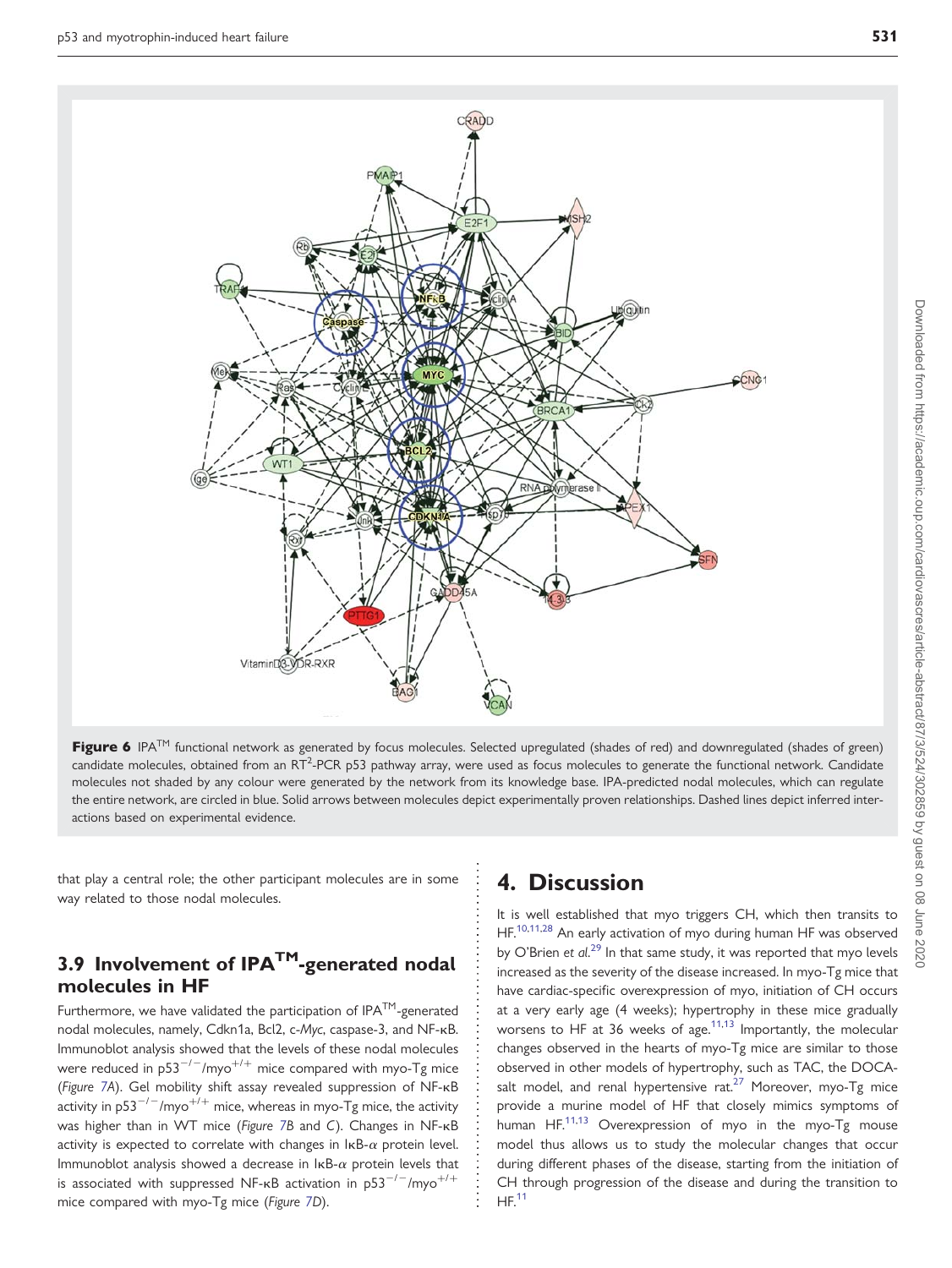<span id="page-7-0"></span>

Figure 6 IPA<sup>TM</sup> functional network as generated by focus molecules. Selected upregulated (shades of red) and downregulated (shades of green) candidate molecules, obtained from an RT<sup>2</sup>-PCR p53 pathway array, were used as focus molecules to generate the functional network. Candidate molecules not shaded by any colour were generated by the network from its knowledge base. IPA-predicted nodal molecules, which can regulate the entire network, are circled in blue. Solid arrows between molecules depict experimentally proven relationships. Dashed lines depict inferred interactions based on experimental evidence.

that play a central role; the other participant molecules are in some way related to those nodal molecules.

### 3.9 Involvement of IPA<sup>TM</sup>-generated nodal molecules in HF

Furthermore, we have validated the participation of  $IPA^{TM}$ -generated nodal molecules, namely, Cdkn1a, Bcl2, c-Myc, caspase-3, and NF-kB. Immunoblot analysis showed that the levels of these nodal molecules were reduced in  $p53^{-/-}/mpo^{+/+}$  mice compared with myo-Tg mice (Figure [7](#page-8-0)A). Gel mobility shift assay revealed suppression of NF-kB activity in  $p53^{-/-}/mpo^{+/+}$  mice, whereas in myo-Tg mice, the activity was higher than in WT mice (Figure [7](#page-8-0)B and C). Changes in NF-KB activity is expected to correlate with changes in  $\text{lkB-}\alpha$  protein level. Immunoblot analysis showed a decrease in  $I \kappa B$ - $\alpha$  protein levels that is associated with suppressed NF- $\kappa$ B activation in p53<sup>-/-</sup>/myo<sup>+/+</sup> mice compared with myo-Tg mice (Figure [7D](#page-8-0)).

# 4. Discussion

It is well established that myo triggers CH, which then transits to HF[.10](#page-9-0)[,11,28](#page-10-0) An early activation of myo during human HF was observed by O'Brien et al.<sup>[29](#page-10-0)</sup> In that same study, it was reported that myo levels increased as the severity of the disease increased. In myo-Tg mice that have cardiac-specific overexpression of myo, initiation of CH occurs at a very early age (4 weeks); hypertrophy in these mice gradually worsens to HF at 36 weeks of age. $11,13$  Importantly, the molecular changes observed in the hearts of myo-Tg mice are similar to those observed in other models of hypertrophy, such as TAC, the DOCAsalt model, and renal hypertensive  $rat.^{27}$  $rat.^{27}$  $rat.^{27}$  Moreover, myo-Tg mice provide a murine model of HF that closely mimics symptoms of .<br>human HF.<sup>[11](#page-10-0),[13](#page-10-0)</sup> Overexpression of myo in the myo-Tg mouse model thus allows us to study the molecular changes that occur during different phases of the disease, starting from the initiation of CH through progression of the disease and during the transition to  $HE<sup>11</sup>$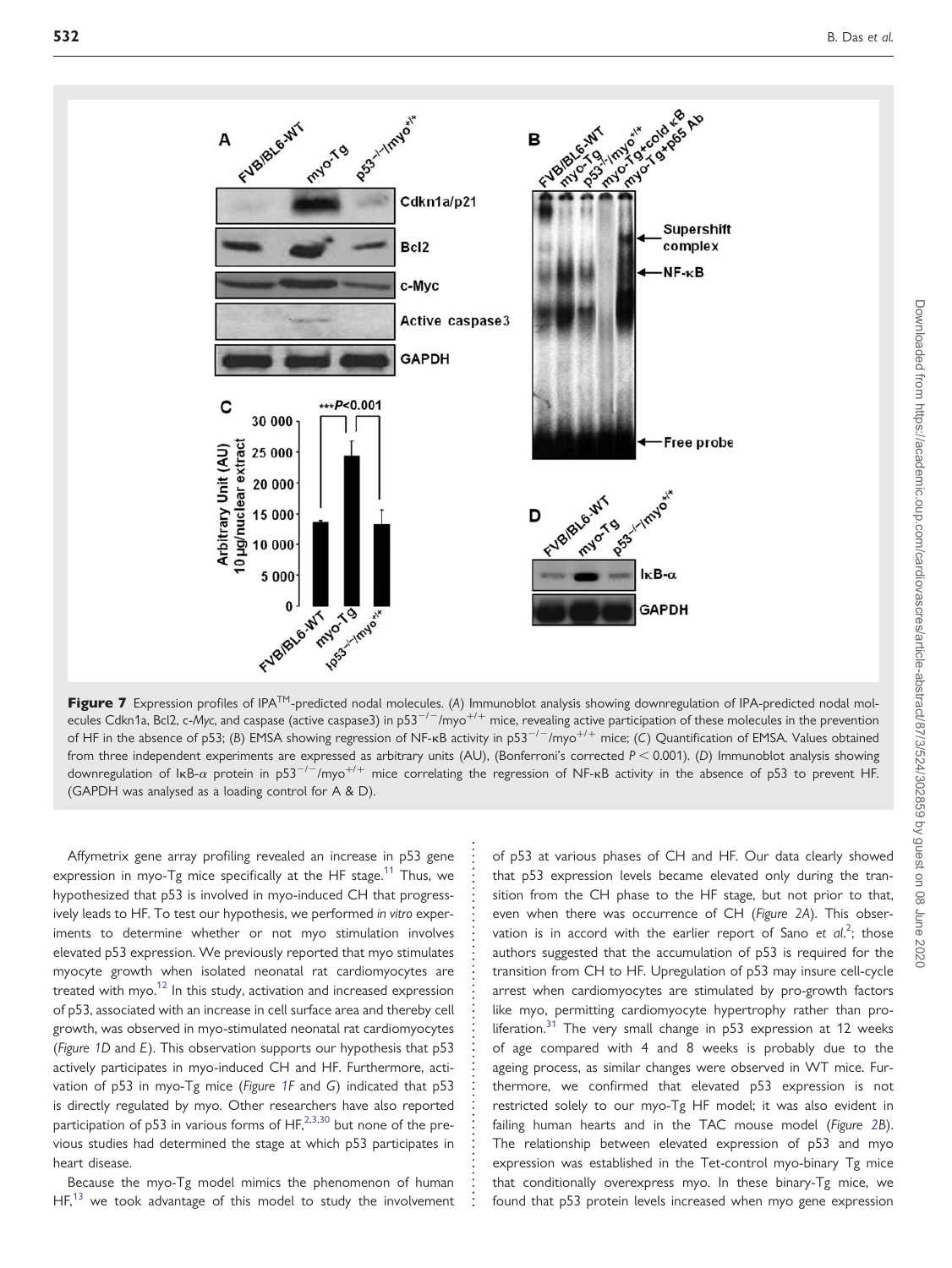<span id="page-8-0"></span>

Figure 7 Expression profiles of IPA<sup>TM</sup>-predicted nodal molecules. (A) Immunoblot analysis showing downregulation of IPA-predicted nodal molecules Cdkn1a, Bcl2, c-Myc, and caspase (active caspase3) in p53<sup>-/-</sup>/myo<sup>+/+</sup> mice, revealing active participation of these molecules in the prevention of HF in the absence of p53; (B) EMSA showing regression of NF-kB activity in p53<sup>-/-</sup>/myo<sup>+/+</sup> mice; (C) Quantification of EMSA. Values obtained from three independent experiments are expressed as arbitrary units (AU), (Bonferroni's corrected  $P < 0.001$ ). (D) Immunoblot analysis showing downregulation of IkB- $\alpha$  protein in p53<sup>-/-</sup>/myo<sup>+/+</sup> mice correlating the regression of NF-kB activity in the absence of p53 to prevent HF. (GAPDH was analysed as a loading control for A & D).

Affymetrix gene array profiling revealed an increase in p53 gene expression in myo-Tg mice specifically at the HF stage.<sup>11</sup> Thus, we hypothesized that p53 is involved in myo-induced CH that progressively leads to HF. To test our hypothesis, we performed in vitro experiments to determine whether or not myo stimulation involves elevated p53 expression. We previously reported that myo stimulates myocyte growth when isolated neonatal rat cardiomyocytes are treated with myo.<sup>12</sup> In this study, activation and increased expression of p53, associated with an increase in cell surface area and thereby cell growth, was observed in myo-stimulated neonatal rat cardiomyocytes (Figure [1](#page-2-0)D and E). This observation supports our hypothesis that p53 actively participates in myo-induced CH and HF. Furthermore, activation of p53 in myo-Tg mice (Figure [1](#page-2-0)F and G) indicated that p53 is directly regulated by myo. Other researchers have also reported participation of p53 in various forms of  $HF<sub>1</sub><sup>2,3,30</sup>$  $HF<sub>1</sub><sup>2,3,30</sup>$  $HF<sub>1</sub><sup>2,3,30</sup>$  $HF<sub>1</sub><sup>2,3,30</sup>$  $HF<sub>1</sub><sup>2,3,30</sup>$  but none of the previous studies had determined the stage at which p53 participates in heart disease.

Because the myo-Tg model mimics the phenomenon of human  $HF<sub>13</sub>$  $HF<sub>13</sub>$  $HF<sub>13</sub>$  we took advantage of this model to study the involvement of p53 at various phases of CH and HF. Our data clearly showed that p53 expression levels became elevated only during the transition from the CH phase to the HF stage, but not prior to that, even when there was occurrence of CH (Figure [2](#page-3-0)A). This observation is in accord with the earlier report of Sano et  $al^2$  $al^2$ ; those authors suggested that the accumulation of p53 is required for the transition from CH to HF. Upregulation of p53 may insure cell-cycle arrest when cardiomyocytes are stimulated by pro-growth factors like myo, permitting cardiomyocyte hypertrophy rather than pro-liferation.<sup>[31](#page-10-0)</sup> The very small change in  $p53$  expression at 12 weeks of age compared with 4 and 8 weeks is probably due to the ageing process, as similar changes were observed in WT mice. Furthermore, we confirmed that elevated p53 expression is not restricted solely to our myo-Tg HF model; it was also evident in failing human hearts and in the TAC mouse model (Figure [2B](#page-3-0)). The relationship between elevated expression of p53 and myo expression was established in the Tet-control myo-binary Tg mice that conditionally overexpress myo. In these binary-Tg mice, we found that p53 protein levels increased when myo gene expression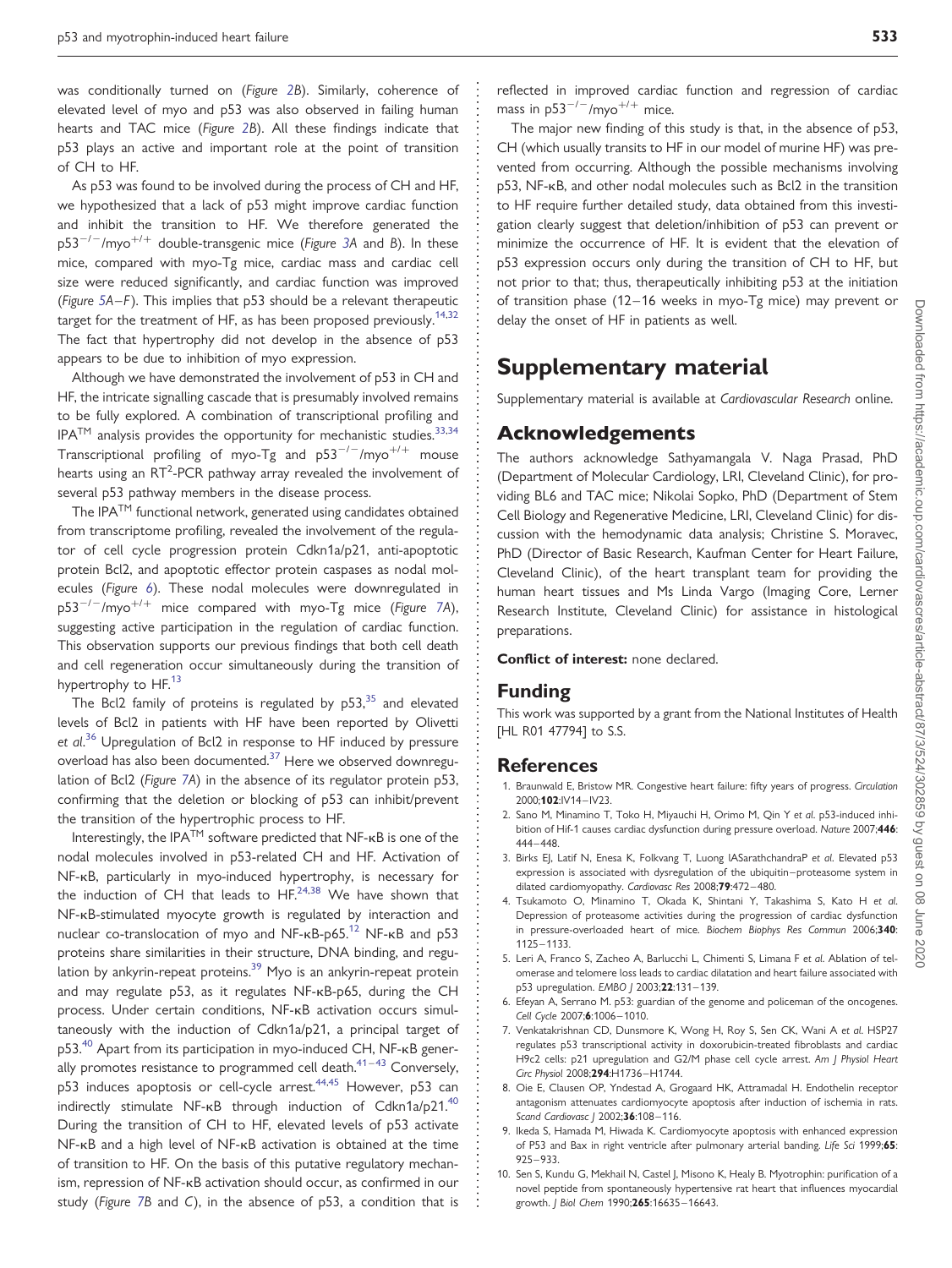<span id="page-9-0"></span>was conditionally turned on (Figure [2](#page-3-0)B). Similarly, coherence of elevated level of myo and p53 was also observed in failing human hearts and TAC mice (Figure [2](#page-3-0)B). All these findings indicate that p53 plays an active and important role at the point of transition of CH to HF.

As p53 was found to be involved during the process of CH and HF, we hypothesized that a lack of p53 might improve cardiac function and inhibit the transition to HF. We therefore generated the  $p53^{-/-}/mpo^{+/+}$  double-transgenic mice (Figure [3A](#page-3-0) and B). In these mice, compared with myo-Tg mice, cardiac mass and cardiac cell size were reduced significantly, and cardiac function was improved (Figure [5](#page-5-0)A–F). This implies that p53 should be a relevant therapeutic target for the treatment of HF, as has been proposed previously.<sup>14,32</sup> The fact that hypertrophy did not develop in the absence of p53 appears to be due to inhibition of myo expression.

Although we have demonstrated the involvement of p53 in CH and HF, the intricate signalling cascade that is presumably involved remains to be fully explored. A combination of transcriptional profiling and  $IPA^{TM}$  analysis provides the opportunity for mechanistic studies.<sup>[33,34](#page-10-0)</sup> Transcriptional profiling of myo-Tg and  $p53^{-/-}/myo^{+/+}$  mouse hearts using an  $RT^2$ -PCR pathway array revealed the involvement of several p53 pathway members in the disease process.

The IPA<sup>TM</sup> functional network, generated using candidates obtained from transcriptome profiling, revealed the involvement of the regulator of cell cycle progression protein Cdkn1a/p21, anti-apoptotic protein Bcl2, and apoptotic effector protein caspases as nodal molecules (Figure [6](#page-7-0)). These nodal molecules were downregulated in  $p53^{-/-}/mpo^{+/+}$  mice compared with myo-Tg mice (Figure [7](#page-8-0)A), suggesting active participation in the regulation of cardiac function. This observation supports our previous findings that both cell death and cell regeneration occur simultaneously during the transition of hypertrophy to HF.<sup>[13](#page-10-0)</sup>

The Bcl2 family of proteins is regulated by  $p53$ , and elevated levels of Bcl2 in patients with HF have been reported by Olivetti et al.<sup>[36](#page-10-0)</sup> Upregulation of Bcl2 in response to HF induced by pressure overload has also been documented.[37](#page-10-0) Here we observed downregulation of Bcl2 (Figure [7](#page-8-0)A) in the absence of its regulator protein p53, confirming that the deletion or blocking of p53 can inhibit/prevent the transition of the hypertrophic process to HF.

Interestingly, the IPA<sup>TM</sup> software predicted that NF-<sub>KB</sub> is one of the nodal molecules involved in p53-related CH and HF. Activation of NF-kB, particularly in myo-induced hypertrophy, is necessary for the induction of CH that leads to  $HF^{24,38}$  $HF^{24,38}$  $HF^{24,38}$  We have shown that NF-kB-stimulated myocyte growth is regulated by interaction and nuclear co-translocation of myo and NF-KB-p65.<sup>[12](#page-10-0)</sup> NF-KB and p53 proteins share similarities in their structure, DNA binding, and regulation by ankyrin-repeat proteins.<sup>39</sup> Myo is an ankyrin-repeat protein and may regulate p53, as it regulates NF-kB-p65, during the CH process. Under certain conditions, NF-kB activation occurs simultaneously with the induction of Cdkn1a/p21, a principal target of p53.<sup>[40](#page-10-0)</sup> Apart from its participation in myo-induced CH, NF-<sub>KB</sub> generally promotes resistance to programmed cell death. $41-43$  $41-43$  Conversely, p53 induces apoptosis or cell-cycle arrest.<sup>[44](#page-10-0),[45](#page-10-0)</sup> However, p53 can indirectly stimulate NF-KB through induction of Cdkn1a/p21.<sup>40</sup> During the transition of CH to HF, elevated levels of p53 activate NF-kB and a high level of NF-kB activation is obtained at the time of transition to HF. On the basis of this putative regulatory mechanism, repression of NF-kB activation should occur, as confirmed in our study (Figure [7](#page-8-0)B and C), in the absence of p53, a condition that is

The major new finding of this study is that, in the absence of p53, CH (which usually transits to HF in our model of murine HF) was prevented from occurring. Although the possible mechanisms involving p53, NF-kB, and other nodal molecules such as Bcl2 in the transition to HF require further detailed study, data obtained from this investigation clearly suggest that deletion/inhibition of p53 can prevent or minimize the occurrence of HF. It is evident that the elevation of p53 expression occurs only during the transition of CH to HF, but not prior to that; thus, therapeutically inhibiting p53 at the initiation of transition phase (12–16 weeks in myo-Tg mice) may prevent or delay the onset of HF in patients as well.

### Supplementary material

[Supplementary material is available at](http://cardiovascres.oxfordjournals.org/cgi/content/full/cvq068/DC1) Cardiovascular Research online.

### Acknowledgements

The authors acknowledge Sathyamangala V. Naga Prasad, PhD (Department of Molecular Cardiology, LRI, Cleveland Clinic), for providing BL6 and TAC mice; Nikolai Sopko, PhD (Department of Stem Cell Biology and Regenerative Medicine, LRI, Cleveland Clinic) for discussion with the hemodynamic data analysis; Christine S. Moravec, PhD (Director of Basic Research, Kaufman Center for Heart Failure, Cleveland Clinic), of the heart transplant team for providing the human heart tissues and Ms Linda Vargo (Imaging Core, Lerner Research Institute, Cleveland Clinic) for assistance in histological preparations.

#### Conflict of interest: none declared.

### Funding

This work was supported by a grant from the National Institutes of Health [HL R01 47794] to S.S.

#### **References**

- 1. Braunwald E, Bristow MR. Congestive heart failure: fifty years of progress. Circulation 2000;102:IV14 –IV23.
- 2. Sano M, Minamino T, Toko H, Miyauchi H, Orimo M, Qin Y et al. p53-induced inhibition of Hif-1 causes cardiac dysfunction during pressure overload. Nature 2007;446: 444 –448.
- 3. Birks EJ, Latif N, Enesa K, Folkvang T, Luong lASarathchandraP et al. Elevated p53 expression is associated with dysregulation of the ubiquitin –proteasome system in dilated cardiomyopathy. Cardiovasc Res 2008;79:472-480.
- 4. Tsukamoto O, Minamino T, Okada K, Shintani Y, Takashima S, Kato H et al. Depression of proteasome activities during the progression of cardiac dysfunction in pressure-overloaded heart of mice. Biochem Biophys Res Commun 2006;340: 1125– 1133.
- 5. Leri A, Franco S, Zacheo A, Barlucchi L, Chimenti S, Limana F et al. Ablation of telomerase and telomere loss leads to cardiac dilatation and heart failure associated with p53 upregulation. EMBO J 2003;22:131-139.
- 6. Efeyan A, Serrano M. p53: guardian of the genome and policeman of the oncogenes. Cell Cycle 2007;6:1006-1010.
- 7. Venkatakrishnan CD, Dunsmore K, Wong H, Roy S, Sen CK, Wani A et al. HSP27 regulates p53 transcriptional activity in doxorubicin-treated fibroblasts and cardiac H9c2 cells: p21 upregulation and G2/M phase cell cycle arrest. Am J Physiol Heart Circ Physiol 2008;294:H1736-H1744.
- 8. Oie E, Clausen OP, Yndestad A, Grogaard HK, Attramadal H. Endothelin receptor antagonism attenuates cardiomyocyte apoptosis after induction of ischemia in rats. Scand Cardiovasc | 2002:36:108-116.
- 9. Ikeda S, Hamada M, Hiwada K. Cardiomyocyte apoptosis with enhanced expression of P53 and Bax in right ventricle after pulmonary arterial banding. Life Sci 1999;65: 925 –933.
- 10. Sen S, Kundu G, Mekhail N, Castel J, Misono K, Healy B. Myotrophin: purification of a novel peptide from spontaneously hypertensive rat heart that influences myocardial growth. J Biol Chem 1990;265:16635-16643.